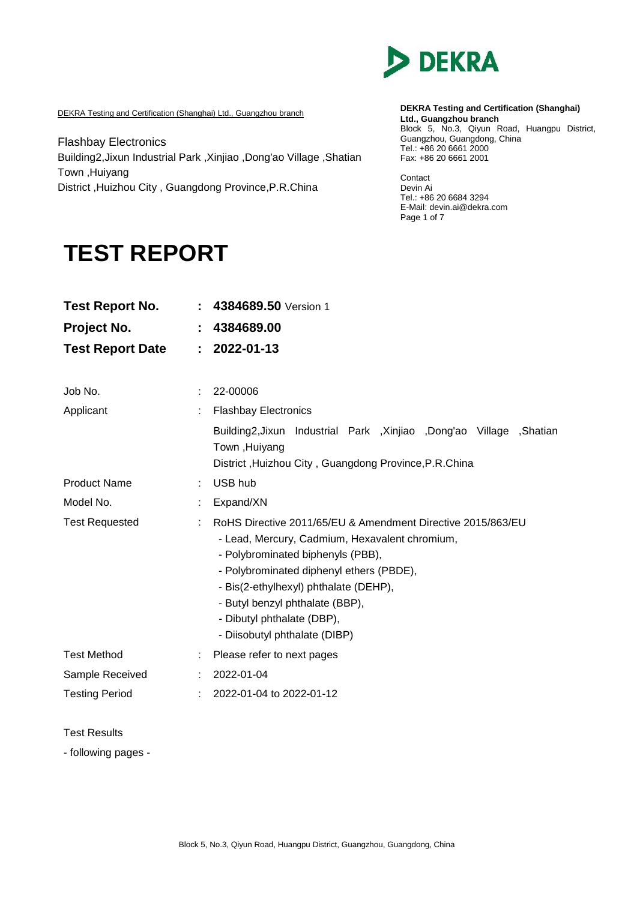

DEKRA Testing and Certification (Shanghai) Ltd., Guangzhou branch

Flashbay Electronics Building2,Jixun Industrial Park ,Xinjiao ,Dong'ao Village ,Shatian Town ,Huiyang District ,Huizhou City , Guangdong Province,P.R.China

#### **DEKRA Testing and Certification (Shanghai) Ltd., Guangzhou branch** Block 5, No.3, Qiyun Road, Huangpu District, Guangzhou, Guangdong, China Tel.: +86 20 6661 2000 Fax: +86 20 6661 2001

Contact Devin Ai Tel.: +86 20 6684 3294 E-Mail: devin.ai@dekra.com Page 1 of 7

# **TEST REPORT**

| <b>Test Report No.</b>  |   | 4384689.50 Version 1                                                                                                                                                                                                                                                                                                                      |  |  |  |  |
|-------------------------|---|-------------------------------------------------------------------------------------------------------------------------------------------------------------------------------------------------------------------------------------------------------------------------------------------------------------------------------------------|--|--|--|--|
| Project No.             | t | 4384689.00                                                                                                                                                                                                                                                                                                                                |  |  |  |  |
| <b>Test Report Date</b> | ÷ | 2022-01-13                                                                                                                                                                                                                                                                                                                                |  |  |  |  |
|                         |   |                                                                                                                                                                                                                                                                                                                                           |  |  |  |  |
| Job No.                 |   | 22-00006                                                                                                                                                                                                                                                                                                                                  |  |  |  |  |
| Applicant               |   | <b>Flashbay Electronics</b>                                                                                                                                                                                                                                                                                                               |  |  |  |  |
|                         |   | Building2, Jixun Industrial Park , Xinjiao , Dong'ao Village , Shatian<br>Town, Huiyang<br>District, Huizhou City, Guangdong Province, P.R.China                                                                                                                                                                                          |  |  |  |  |
| <b>Product Name</b>     |   | USB hub                                                                                                                                                                                                                                                                                                                                   |  |  |  |  |
| Model No.               |   | Expand/XN                                                                                                                                                                                                                                                                                                                                 |  |  |  |  |
| <b>Test Requested</b>   |   | RoHS Directive 2011/65/EU & Amendment Directive 2015/863/EU<br>- Lead, Mercury, Cadmium, Hexavalent chromium,<br>- Polybrominated biphenyls (PBB),<br>- Polybrominated diphenyl ethers (PBDE),<br>- Bis(2-ethylhexyl) phthalate (DEHP),<br>- Butyl benzyl phthalate (BBP),<br>- Dibutyl phthalate (DBP),<br>- Diisobutyl phthalate (DIBP) |  |  |  |  |
| <b>Test Method</b>      |   | Please refer to next pages                                                                                                                                                                                                                                                                                                                |  |  |  |  |
| Sample Received         |   | 2022-01-04                                                                                                                                                                                                                                                                                                                                |  |  |  |  |
| <b>Testing Period</b>   |   | 2022-01-04 to 2022-01-12                                                                                                                                                                                                                                                                                                                  |  |  |  |  |

Test Results

- following pages -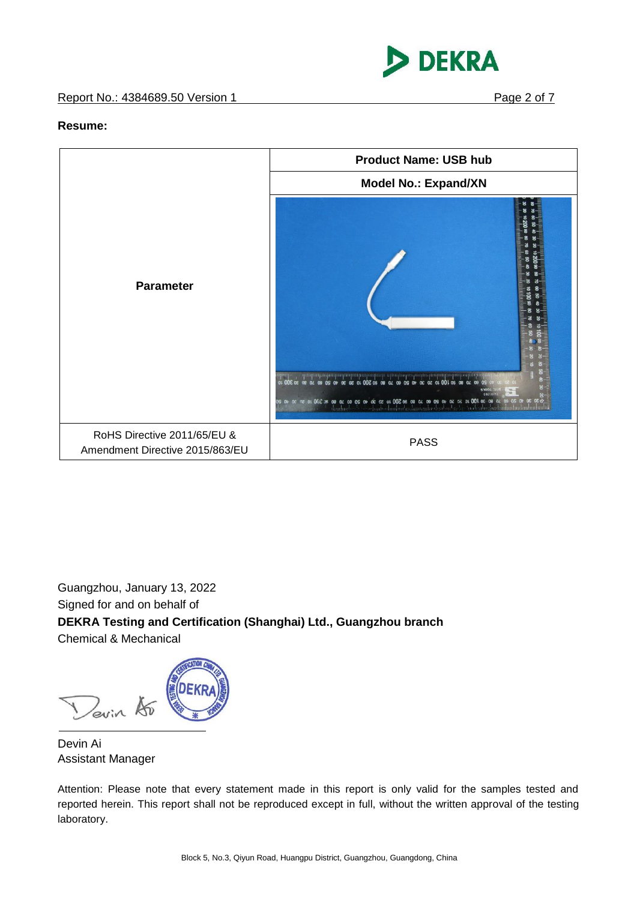



#### **Resume:**



Guangzhou, January 13, 2022 Signed for and on behalf of **DEKRA Testing and Certification (Shanghai) Ltd., Guangzhou branch** Chemical & Mechanical

Devin Ao

Devin Ai Assistant Manager

Attention: Please note that every statement made in this report is only valid for the samples tested and reported herein. This report shall not be reproduced except in full, without the written approval of the testing laboratory.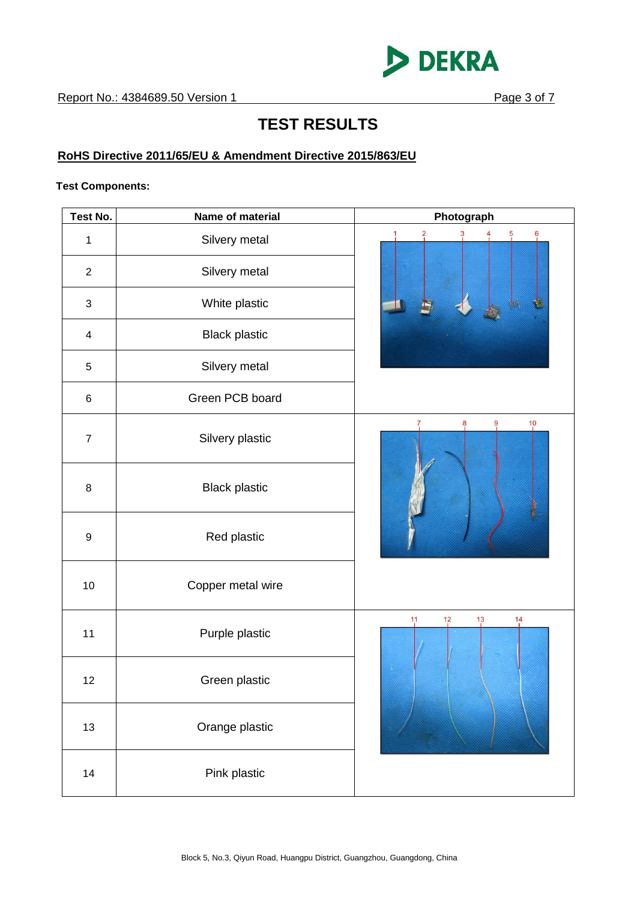

# **TEST RESULTS**

# **RoHS Directive 2011/65/EU & Amendment Directive 2015/863/EU**

#### **Test Components:**

| Test No.                | Name of material     | Photograph                                             |
|-------------------------|----------------------|--------------------------------------------------------|
| $\mathbf{1}$            | Silvery metal        | $\ddot{\theta}$<br>$\frac{2}{1}$<br>5<br>$\frac{3}{2}$ |
| $\overline{2}$          | Silvery metal        |                                                        |
| $\mathbf{3}$            | White plastic        |                                                        |
| $\overline{\mathbf{4}}$ | <b>Black plastic</b> |                                                        |
| 5                       | Silvery metal        |                                                        |
| $\,6\,$                 | Green PCB board      |                                                        |
| $\boldsymbol{7}$        | Silvery plastic      | 9<br>$\frac{10}{1}$<br>8                               |
| $\bf 8$                 | <b>Black plastic</b> |                                                        |
| $\boldsymbol{9}$        | Red plastic          |                                                        |
| 10                      | Copper metal wire    |                                                        |
| 11                      | Purple plastic       | 11<br>1 <sup>3</sup><br>14<br>12                       |
| 12                      | Green plastic        |                                                        |
| 13                      | Orange plastic       |                                                        |
| 14                      | Pink plastic         |                                                        |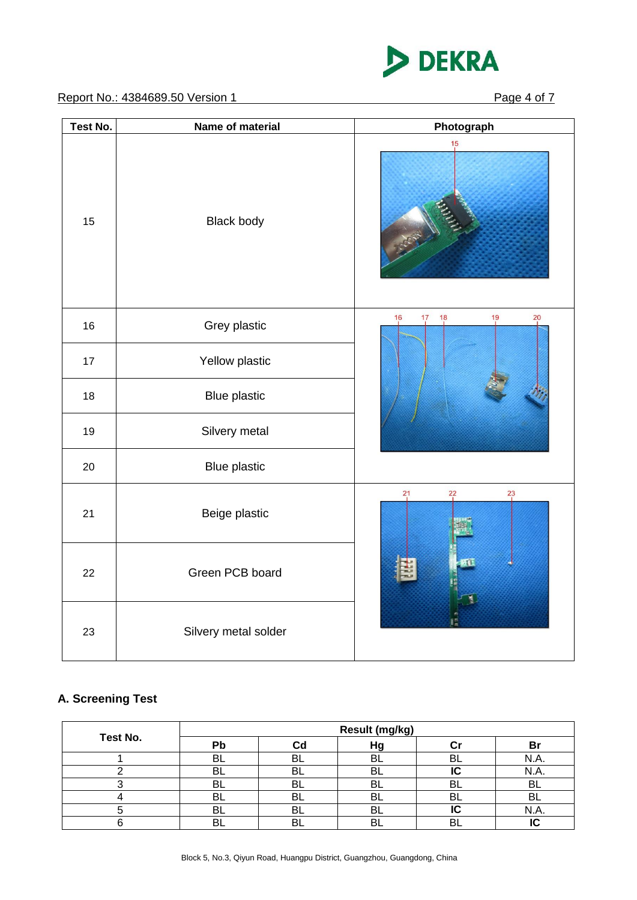

Report No.: 4384689.50 Version 1 Page 4 of 7

| Test No. | Name of material     | Photograph                    |
|----------|----------------------|-------------------------------|
| 15       | <b>Black body</b>    | 15                            |
| 16       | Grey plastic         | 19<br>20<br>16<br>17<br>18    |
| 17       | Yellow plastic       |                               |
| 18       | <b>Blue plastic</b>  |                               |
| 19       | Silvery metal        |                               |
| 20       | <b>Blue plastic</b>  |                               |
| 21       | Beige plastic        | $^{21}$<br>$^{22}$<br>$^{23}$ |
| 22       | Green PCB board      |                               |
| 23       | Silvery metal solder |                               |

# **A. Screening Test**

|          | Result (mg/kg) |     |     |    |     |  |  |  |  |
|----------|----------------|-----|-----|----|-----|--|--|--|--|
| Test No. | Рb             | Cd  | Ηg  |    | в   |  |  |  |  |
|          | BL             | BL  | n   | BL |     |  |  |  |  |
|          | BI             | BL  | -BL |    | N.A |  |  |  |  |
|          | Bl             | -BL | B.  | BL | Bl  |  |  |  |  |
|          | BL             | -BL | BL  | BL | Bl  |  |  |  |  |
|          | BL             | BL  | BL  | ּ∩ | N.A |  |  |  |  |
|          | R              | Bı  |     | RI |     |  |  |  |  |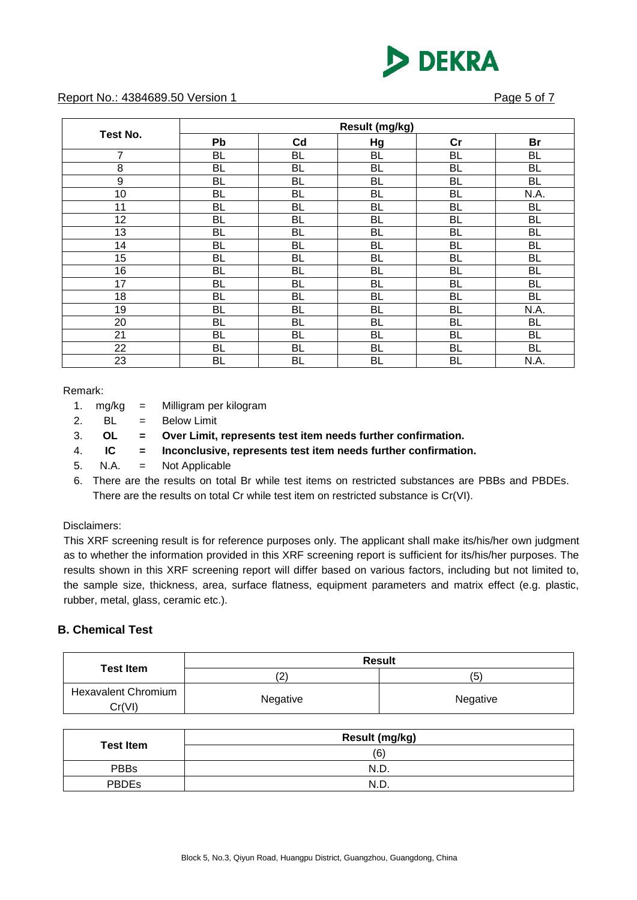

#### Report No.: 4384689.50 Version 1 **Page 5 of 7 Page 5 of 7**

|          | Result (mg/kg) |           |           |           |           |  |  |  |  |
|----------|----------------|-----------|-----------|-----------|-----------|--|--|--|--|
| Test No. | Pb             | Cd        | Hg        | cr        | <b>Br</b> |  |  |  |  |
| 7        | <b>BL</b>      | <b>BL</b> | <b>BL</b> | <b>BL</b> | <b>BL</b> |  |  |  |  |
| 8        | BL             | BL        | BL        | <b>BL</b> | <b>BL</b> |  |  |  |  |
| 9        | <b>BL</b>      | <b>BL</b> | BL        | <b>BL</b> | <b>BL</b> |  |  |  |  |
| 10       | BL             | BL        | BL        | <b>BL</b> | N.A.      |  |  |  |  |
| 11       | BL             | BL        | BL        | <b>BL</b> | <b>BL</b> |  |  |  |  |
| 12       | BL             | BL        | BL        | <b>BL</b> | <b>BL</b> |  |  |  |  |
| 13       | BL             | BL        | BL        | <b>BL</b> | <b>BL</b> |  |  |  |  |
| 14       | BL             | BL        | BL        | <b>BL</b> | <b>BL</b> |  |  |  |  |
| 15       | BL             | BL        | BL        | BL        | <b>BL</b> |  |  |  |  |
| 16       | BL             | BL        | BL        | <b>BL</b> | <b>BL</b> |  |  |  |  |
| 17       | BL             | <b>BL</b> | BL        | <b>BL</b> | <b>BL</b> |  |  |  |  |
| 18       | BL             | BL        | <b>BL</b> | <b>BL</b> | <b>BL</b> |  |  |  |  |
| 19       | <b>BL</b>      | <b>BL</b> | BL        | <b>BL</b> | N.A.      |  |  |  |  |
| 20       | BL             | BL        | BL        | BL        | <b>BL</b> |  |  |  |  |
| 21       | BL             | <b>BL</b> | BL        | <b>BL</b> | <b>BL</b> |  |  |  |  |
| 22       | BL             | BL        | BL        | <b>BL</b> | <b>BL</b> |  |  |  |  |
| 23       | BL             | BL        | BL        | BL        | N.A.      |  |  |  |  |

#### Remark:

| 1. | mg/kg | Milligram per kilogram |  |
|----|-------|------------------------|--|
|    |       |                        |  |

2.  $BL = Below Limit$ 

3. **OL = Over Limit, represents test item needs further confirmation.**

4. **IC = Inconclusive, represents test item needs further confirmation.**

- 5. N.A. = Not Applicable
- 6. There are the results on total Br while test items on restricted substances are PBBs and PBDEs. There are the results on total Cr while test item on restricted substance is Cr(VI).

#### Disclaimers:

This XRF screening result is for reference purposes only. The applicant shall make its/his/her own judgment as to whether the information provided in this XRF screening report is sufficient for its/his/her purposes. The results shown in this XRF screening report will differ based on various factors, including but not limited to, the sample size, thickness, area, surface flatness, equipment parameters and matrix effect (e.g. plastic, rubber, metal, glass, ceramic etc.).

#### **B. Chemical Test**

|                                      | <b>Result</b> |          |  |  |  |
|--------------------------------------|---------------|----------|--|--|--|
| <b>Test Item</b>                     | 2             | (5)      |  |  |  |
| <b>Hexavalent Chromium</b><br>Cr(VI) | Negative      | Negative |  |  |  |

|                  | Result (mg/kg) |
|------------------|----------------|
| <b>Test Item</b> | (6)            |
| <b>PBBs</b>      | N.D.           |
| <b>PBDEs</b>     | N.D.           |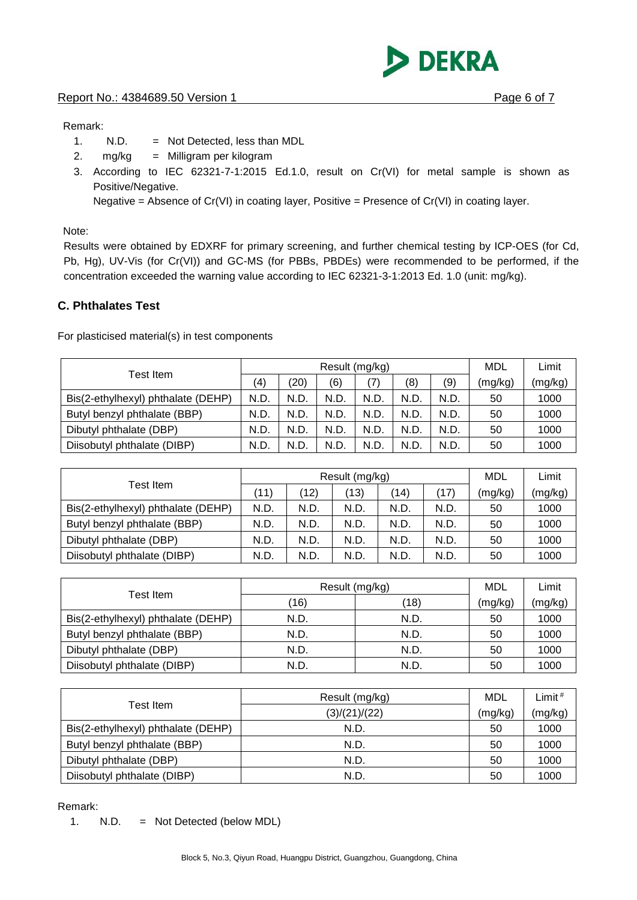**DEKRA** 

#### Remark:

- 1. N.D. = Not Detected, less than MDL
- 2. mg/kg = Milligram per kilogram
- 3. According to IEC 62321-7-1:2015 Ed.1.0, result on Cr(VI) for metal sample is shown as Positive/Negative.

Negative = Absence of  $Cr(VI)$  in coating layer, Positive = Presence of  $Cr(VI)$  in coating layer.

Note:

Results were obtained by EDXRF for primary screening, and further chemical testing by ICP-OES (for Cd, Pb, Hg), UV-Vis (for Cr(VI)) and GC-MS (for PBBs, PBDEs) were recommended to be performed, if the concentration exceeded the warning value according to IEC 62321-3-1:2013 Ed. 1.0 (unit: mg/kg).

### **C. Phthalates Test**

For plasticised material(s) in test components

|                                    | Result (mg/kg) |      |      |      |      |     | MDL     | Limit   |
|------------------------------------|----------------|------|------|------|------|-----|---------|---------|
| Test Item                          | (4)            | (20) | (6)  | (7)  | (8)  | (9) | (mg/kg) | (mg/kg) |
| Bis(2-ethylhexyl) phthalate (DEHP) | N.D            | N.D. | N.D. | N.D. | N.D  | N.D | 50      | 1000    |
| Butyl benzyl phthalate (BBP)       | N.D.           | N.D. | N.D. | N.D. | N.D. | N.D | 50      | 1000    |
| Dibutyl phthalate (DBP)            | N.D.           | N.D. | N.D. | N.D. | N.D  | N.D | 50      | 1000    |
| Diisobutyl phthalate (DIBP)        | N.D            | N.D. | N.D. | N.D. | N.D  | N.D | 50      | 1000    |

|                                    |      | Result (mg/kg) | <b>MDL</b> | Limit |      |         |         |
|------------------------------------|------|----------------|------------|-------|------|---------|---------|
| Test Item                          | (11) | (12)           | (13)       | (14)  | (17) | (mg/kg) | (mg/kg) |
| Bis(2-ethylhexyl) phthalate (DEHP) | N.D. | N.D.           | N.D        | N.D.  | N.D. | 50      | 1000    |
| Butyl benzyl phthalate (BBP)       | N.D. | N.D.           | N.D.       | N.D.  | N.D. | 50      | 1000    |
| Dibutyl phthalate (DBP)            | N.D. | N.D.           | N.D.       | N.D.  | N.D. | 50      | 1000    |
| Diisobutyl phthalate (DIBP)        | N.D. | N.D.           | N.D        | N.D.  | N.D. | 50      | 1000    |

| Test Item                          | Result (mg/kg) | MDL  | Limit   |         |
|------------------------------------|----------------|------|---------|---------|
|                                    | (16)           | (18) | (mg/kg) | (mg/kg) |
| Bis(2-ethylhexyl) phthalate (DEHP) | N.D.           | N.D. | 50      | 1000    |
| Butyl benzyl phthalate (BBP)       | N.D.           | N.D. | 50      | 1000    |
| Dibutyl phthalate (DBP)            | N.D.           | N.D. | 50      | 1000    |
| Diisobutyl phthalate (DIBP)        | N.D.           | N.D. | 50      | 1000    |

|                                    | Result (mg/kg) | MDL     | Limit $#$ |
|------------------------------------|----------------|---------|-----------|
| Test Item                          | (3)/(21)/(22)  | (mg/kg) | (mg/kg)   |
| Bis(2-ethylhexyl) phthalate (DEHP) | N.D.           | 50      | 1000      |
| Butyl benzyl phthalate (BBP)       | N.D.           | 50      | 1000      |
| Dibutyl phthalate (DBP)            | N.D.           | 50      | 1000      |
| Diisobutyl phthalate (DIBP)        | N.D.           | 50      | 1000      |

#### Remark:

1. N.D. = Not Detected (below MDL)